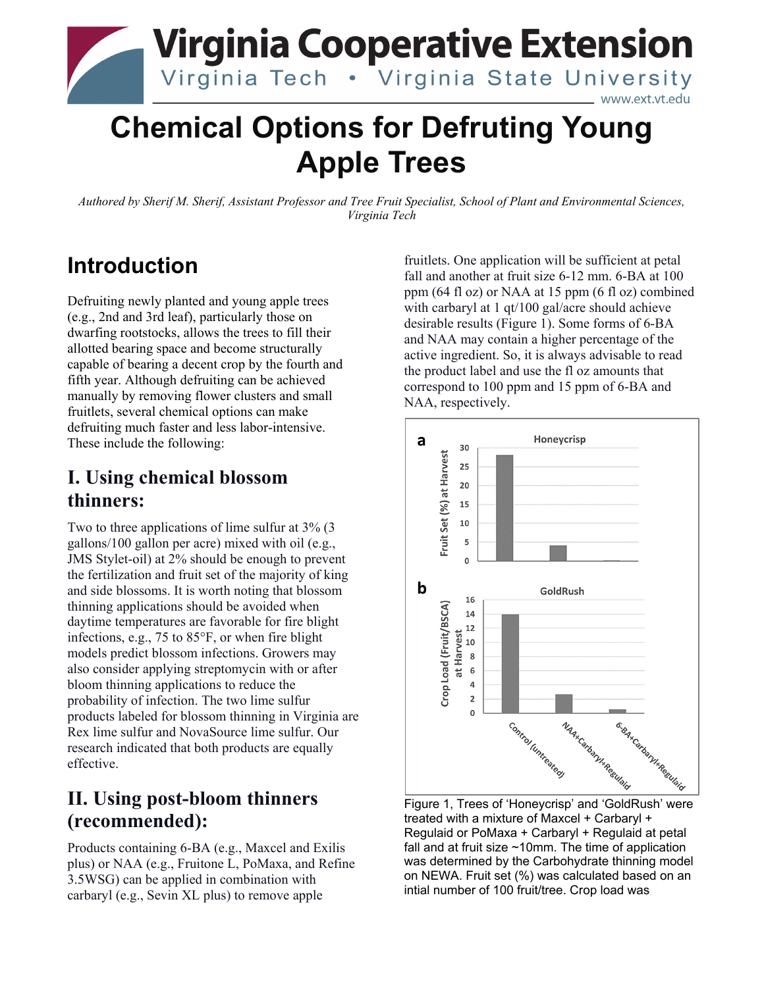

# **Chemical Options for Defruting Young Apple Trees**

*Authored by Sherif M. Sherif, Assistant Professor and Tree Fruit Specialist, School of Plant and Environmental Sciences, Virginia Tech*

# **Introduction**

Defruiting newly planted and young apple trees (e.g., 2nd and 3rd leaf), particularly those on dwarfing rootstocks, allows the trees to fill their allotted bearing space and become structurally capable of bearing a decent crop by the fourth and fifth year. Although defruiting can be achieved manually by removing flower clusters and small fruitlets, several chemical options can make defruiting much faster and less labor-intensive. These include the following:

## **I. Using chemical blossom thinners:**

Two to three applications of lime sulfur at 3% (3 gallons/100 gallon per acre) mixed with oil (e.g., JMS Stylet-oil) at 2% should be enough to prevent the fertilization and fruit set of the majority of king and side blossoms. It is worth noting that blossom thinning applications should be avoided when daytime temperatures are favorable for fire blight infections, e.g., 75 to 85°F, or when fire blight models predict blossom infections. Growers may also consider applying streptomycin with or after bloom thinning applications to reduce the probability of infection. The two lime sulfur products labeled for blossom thinning in Virginia are Rex lime sulfur and NovaSource lime sulfur. Our research indicated that both products are equally effective.

# **II. Using post-bloom thinners (recommended):**

Products containing 6-BA (e.g., Maxcel and Exilis plus) or NAA (e.g., Fruitone L, PoMaxa, and Refine 3.5WSG) can be applied in combination with carbaryl (e.g., Sevin XL plus) to remove apple

fruitlets. One application will be sufficient at petal fall and another at fruit size 6-12 mm. 6-BA at 100 ppm (64 fl oz) or NAA at 15 ppm (6 fl oz) combined with carbaryl at 1 qt/100 gal/acre should achieve desirable results (Figure 1). Some forms of 6-BA and NAA may contain a higher percentage of the active ingredient. So, it is always advisable to read the product label and use the fl oz amounts that correspond to 100 ppm and 15 ppm of 6-BA and NAA, respectively.



treated with a mixture of Maxcel + Carbaryl + Regulaid or PoMaxa + Carbaryl + Regulaid at petal fall and at fruit size ~10mm. The time of application was determined by the Carbohydrate thinning model on NEWA. Fruit set (%) was calculated based on an intial number of 100 fruit/tree. Crop load was